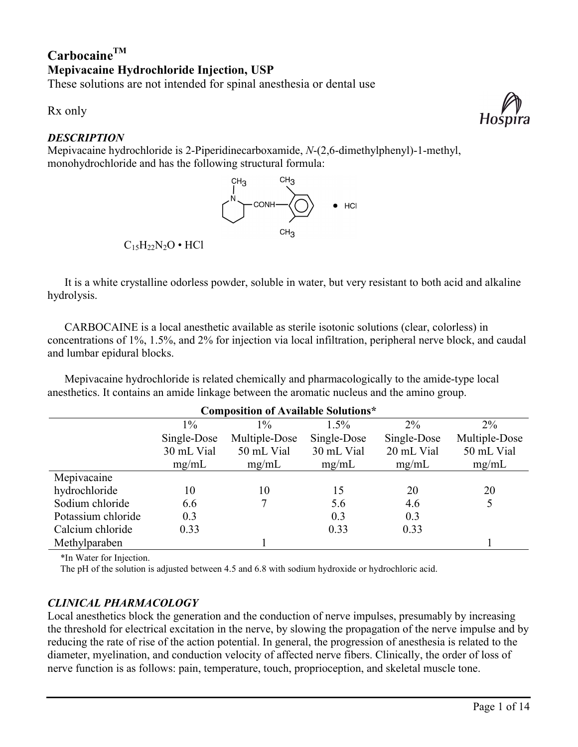# **CarbocaineTM Mepivacaine Hydrochloride Injection, USP**

These solutions are not intended for spinal anesthesia or dental use

Rx only

## *DESCRIPTION*

Mepivacaine hydrochloride is 2-Piperidinecarboxamide, *N*-(2,6-dimethylphenyl)-1-methyl, monohydrochloride and has the following structural formula:



 $C_1$ <sub>5</sub>H<sub>22</sub>N<sub>2</sub>O • HCl

It is a white crystalline odorless powder, soluble in water, but very resistant to both acid and alkaline hydrolysis.

CARBOCAINE is a local anesthetic available as sterile isotonic solutions (clear, colorless) in concentrations of 1%, 1.5%, and 2% for injection via local infiltration, peripheral nerve block, and caudal and lumbar epidural blocks.

Mepivacaine hydrochloride is related chemically and pharmacologically to the amide-type local anesthetics. It contains an amide linkage between the aromatic nucleus and the amino group.

| <b>Composition of Available Solutions*</b> |             |               |             |             |               |
|--------------------------------------------|-------------|---------------|-------------|-------------|---------------|
|                                            | $1\%$       | $1\%$         | $1.5\%$     | $2\%$       | $2\%$         |
|                                            | Single-Dose | Multiple-Dose | Single-Dose | Single-Dose | Multiple-Dose |
|                                            | 30 mL Vial  | 50 mL Vial    | 30 mL Vial  | 20 mL Vial  | 50 mL Vial    |
|                                            | mg/mL       | mg/mL         | mg/mL       | mg/mL       | mg/mL         |
| Mepivacaine                                |             |               |             |             |               |
| hydrochloride                              | 10          | 10            | 15          | 20          | 20            |
| Sodium chloride                            | 6.6         |               | 5.6         | 4.6         |               |
| Potassium chloride                         | 0.3         |               | 0.3         | 0.3         |               |
| Calcium chloride                           | 0.33        |               | 0.33        | 0.33        |               |
| Methylparaben                              |             |               |             |             |               |

\*In Water for Injection.

The pH of the solution is adjusted between 4.5 and 6.8 with sodium hydroxide or hydrochloric acid.

## *CLINICAL PHARMACOLOGY*

Local anesthetics block the generation and the conduction of nerve impulses, presumably by increasing the threshold for electrical excitation in the nerve, by slowing the propagation of the nerve impulse and by reducing the rate of rise of the action potential. In general, the progression of anesthesia is related to the diameter, myelination, and conduction velocity of affected nerve fibers. Clinically, the order of loss of nerve function is as follows: pain, temperature, touch, proprioception, and skeletal muscle tone.

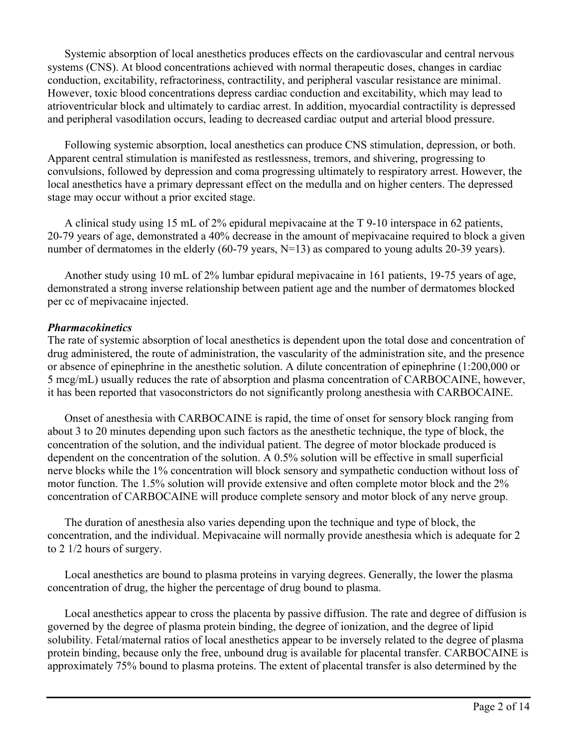Systemic absorption of local anesthetics produces effects on the cardiovascular and central nervous systems (CNS). At blood concentrations achieved with normal therapeutic doses, changes in cardiac conduction, excitability, refractoriness, contractility, and peripheral vascular resistance are minimal. However, toxic blood concentrations depress cardiac conduction and excitability, which may lead to atrioventricular block and ultimately to cardiac arrest. In addition, myocardial contractility is depressed and peripheral vasodilation occurs, leading to decreased cardiac output and arterial blood pressure.

Following systemic absorption, local anesthetics can produce CNS stimulation, depression, or both. Apparent central stimulation is manifested as restlessness, tremors, and shivering, progressing to convulsions, followed by depression and coma progressing ultimately to respiratory arrest. However, the local anesthetics have a primary depressant effect on the medulla and on higher centers. The depressed stage may occur without a prior excited stage.

A clinical study using 15 mL of 2% epidural mepivacaine at the T 9-10 interspace in 62 patients, 20-79 years of age, demonstrated a 40% decrease in the amount of mepivacaine required to block a given number of dermatomes in the elderly (60-79 years, N=13) as compared to young adults 20-39 years).

Another study using 10 mL of 2% lumbar epidural mepivacaine in 161 patients, 19-75 years of age, demonstrated a strong inverse relationship between patient age and the number of dermatomes blocked per cc of mepivacaine injected.

#### *Pharmacokinetics*

The rate of systemic absorption of local anesthetics is dependent upon the total dose and concentration of drug administered, the route of administration, the vascularity of the administration site, and the presence or absence of epinephrine in the anesthetic solution. A dilute concentration of epinephrine (1:200,000 or 5 mcg/mL) usually reduces the rate of absorption and plasma concentration of CARBOCAINE, however, it has been reported that vasoconstrictors do not significantly prolong anesthesia with CARBOCAINE.

Onset of anesthesia with CARBOCAINE is rapid, the time of onset for sensory block ranging from about 3 to 20 minutes depending upon such factors as the anesthetic technique, the type of block, the concentration of the solution, and the individual patient. The degree of motor blockade produced is dependent on the concentration of the solution. A 0.5% solution will be effective in small superficial nerve blocks while the 1% concentration will block sensory and sympathetic conduction without loss of motor function. The 1.5% solution will provide extensive and often complete motor block and the 2% concentration of CARBOCAINE will produce complete sensory and motor block of any nerve group.

The duration of anesthesia also varies depending upon the technique and type of block, the concentration, and the individual. Mepivacaine will normally provide anesthesia which is adequate for 2 to 2 1/2 hours of surgery.

Local anesthetics are bound to plasma proteins in varying degrees. Generally, the lower the plasma concentration of drug, the higher the percentage of drug bound to plasma.

Local anesthetics appear to cross the placenta by passive diffusion. The rate and degree of diffusion is governed by the degree of plasma protein binding, the degree of ionization, and the degree of lipid solubility. Fetal/maternal ratios of local anesthetics appear to be inversely related to the degree of plasma protein binding, because only the free, unbound drug is available for placental transfer. CARBOCAINE is approximately 75% bound to plasma proteins. The extent of placental transfer is also determined by the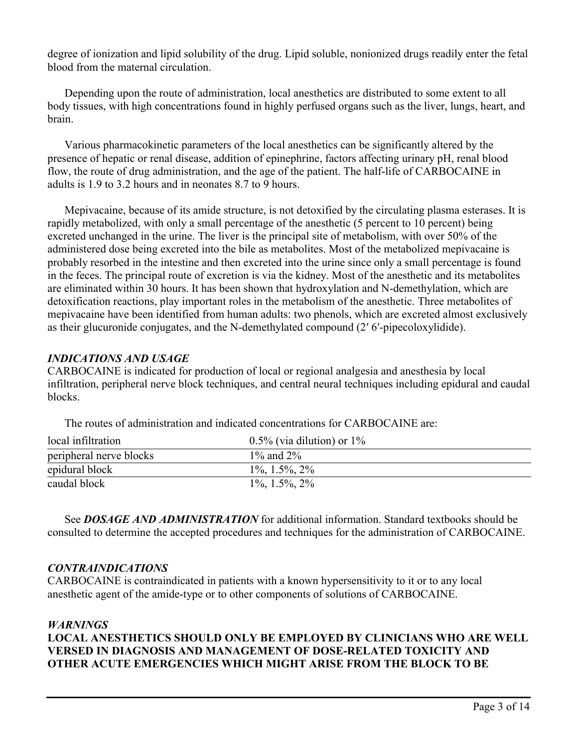degree of ionization and lipid solubility of the drug. Lipid soluble, nonionized drugs readily enter the fetal blood from the maternal circulation.

Depending upon the route of administration, local anesthetics are distributed to some extent to all body tissues, with high concentrations found in highly perfused organs such as the liver, lungs, heart, and brain.

Various pharmacokinetic parameters of the local anesthetics can be significantly altered by the presence of hepatic or renal disease, addition of epinephrine, factors affecting urinary pH, renal blood flow, the route of drug administration, and the age of the patient. The half-life of CARBOCAINE in adults is 1.9 to 3.2 hours and in neonates 8.7 to 9 hours.

Mepivacaine, because of its amide structure, is not detoxified by the circulating plasma esterases. It is rapidly metabolized, with only a small percentage of the anesthetic (5 percent to 10 percent) being excreted unchanged in the urine. The liver is the principal site of metabolism, with over 50% of the administered dose being excreted into the bile as metabolites. Most of the metabolized mepivacaine is probably resorbed in the intestine and then excreted into the urine since only a small percentage is found in the feces. The principal route of excretion is via the kidney. Most of the anesthetic and its metabolites are eliminated within 30 hours. It has been shown that hydroxylation and N-demethylation, which are detoxification reactions, play important roles in the metabolism of the anesthetic. Three metabolites of mepivacaine have been identified from human adults: two phenols, which are excreted almost exclusively as their glucuronide conjugates, and the N-demethylated compound (2′ 6′-pipecoloxylidide).

## *INDICATIONS AND USAGE*

CARBOCAINE is indicated for production of local or regional analgesia and anesthesia by local infiltration, peripheral nerve block techniques, and central neural techniques including epidural and caudal blocks.

| The routes of administration and indicated concentrations for CARBOCAINE are: |  |
|-------------------------------------------------------------------------------|--|
|-------------------------------------------------------------------------------|--|

| local infiltration      | $0.5\%$ (via dilution) or $1\%$ |
|-------------------------|---------------------------------|
| peripheral nerve blocks | 1\% and $2\%$                   |
| epidural block          | $1\%$ , 1.5%, $2\%$             |
| caudal block            | $1\%, 1.5\%, 2\%$               |

See *DOSAGE AND ADMINISTRATION* for additional information. Standard textbooks should be consulted to determine the accepted procedures and techniques for the administration of CARBOCAINE.

#### *CONTRAINDICATIONS*

CARBOCAINE is contraindicated in patients with a known hypersensitivity to it or to any local anesthetic agent of the amide-type or to other components of solutions of CARBOCAINE.

#### *WARNINGS* **LOCAL ANESTHETICS SHOULD ONLY BE EMPLOYED BY CLINICIANS WHO ARE WELL VERSED IN DIAGNOSIS AND MANAGEMENT OF DOSE-RELATED TOXICITY AND OTHER ACUTE EMERGENCIES WHICH MIGHT ARISE FROM THE BLOCK TO BE**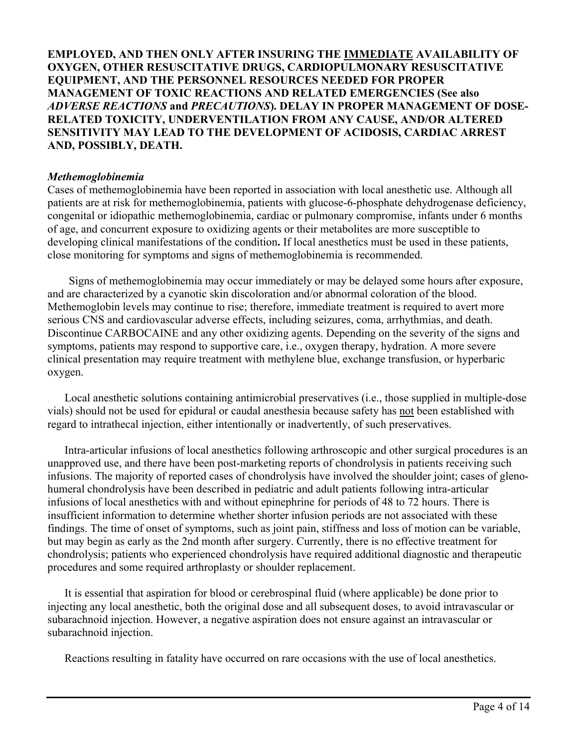**EMPLOYED, AND THEN ONLY AFTER INSURING THE IMMEDIATE AVAILABILITY OF OXYGEN, OTHER RESUSCITATIVE DRUGS, CARDIOPULMONARY RESUSCITATIVE EQUIPMENT, AND THE PERSONNEL RESOURCES NEEDED FOR PROPER MANAGEMENT OF TOXIC REACTIONS AND RELATED EMERGENCIES (See also**  *ADVERSE REACTIONS* **and** *PRECAUTIONS***). DELAY IN PROPER MANAGEMENT OF DOSE-RELATED TOXICITY, UNDERVENTILATION FROM ANY CAUSE, AND/OR ALTERED SENSITIVITY MAY LEAD TO THE DEVELOPMENT OF ACIDOSIS, CARDIAC ARREST AND, POSSIBLY, DEATH.**

#### *Methemoglobinemia*

Cases of methemoglobinemia have been reported in association with local anesthetic use. Although all patients are at risk for methemoglobinemia, patients with glucose-6-phosphate dehydrogenase deficiency, congenital or idiopathic methemoglobinemia, cardiac or pulmonary compromise, infants under 6 months of age, and concurrent exposure to oxidizing agents or their metabolites are more susceptible to developing clinical manifestations of the condition**.** If local anesthetics must be used in these patients, close monitoring for symptoms and signs of methemoglobinemia is recommended.

Signs of methemoglobinemia may occur immediately or may be delayed some hours after exposure, and are characterized by a cyanotic skin discoloration and/or abnormal coloration of the blood. Methemoglobin levels may continue to rise; therefore, immediate treatment is required to avert more serious CNS and cardiovascular adverse effects, including seizures, coma, arrhythmias, and death. Discontinue CARBOCAINE and any other oxidizing agents. Depending on the severity of the signs and symptoms, patients may respond to supportive care, i.e., oxygen therapy, hydration. A more severe clinical presentation may require treatment with methylene blue, exchange transfusion, or hyperbaric oxygen.

Local anesthetic solutions containing antimicrobial preservatives (i.e., those supplied in multiple-dose vials) should not be used for epidural or caudal anesthesia because safety has not been established with regard to intrathecal injection, either intentionally or inadvertently, of such preservatives.

Intra-articular infusions of local anesthetics following arthroscopic and other surgical procedures is an unapproved use, and there have been post-marketing reports of chondrolysis in patients receiving such infusions. The majority of reported cases of chondrolysis have involved the shoulder joint; cases of glenohumeral chondrolysis have been described in pediatric and adult patients following intra-articular infusions of local anesthetics with and without epinephrine for periods of 48 to 72 hours. There is insufficient information to determine whether shorter infusion periods are not associated with these findings. The time of onset of symptoms, such as joint pain, stiffness and loss of motion can be variable, but may begin as early as the 2nd month after surgery. Currently, there is no effective treatment for chondrolysis; patients who experienced chondrolysis have required additional diagnostic and therapeutic procedures and some required arthroplasty or shoulder replacement.

It is essential that aspiration for blood or cerebrospinal fluid (where applicable) be done prior to injecting any local anesthetic, both the original dose and all subsequent doses, to avoid intravascular or subarachnoid injection. However, a negative aspiration does not ensure against an intravascular or subarachnoid injection.

Reactions resulting in fatality have occurred on rare occasions with the use of local anesthetics.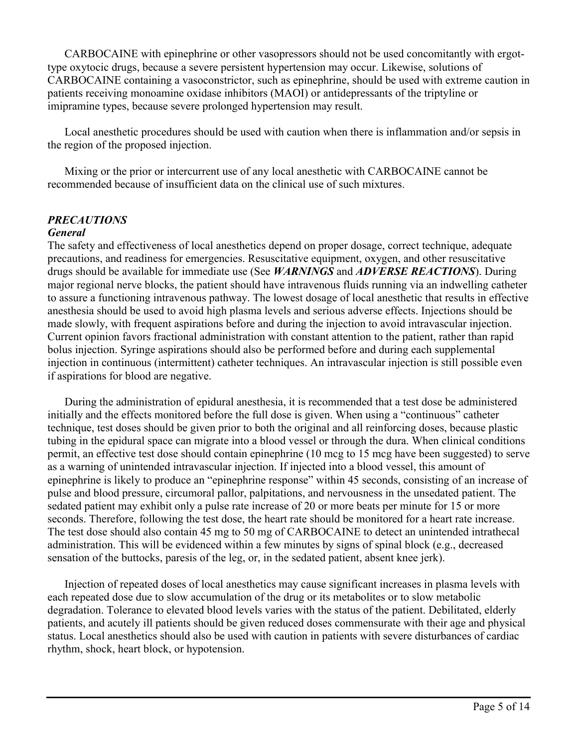CARBOCAINE with epinephrine or other vasopressors should not be used concomitantly with ergottype oxytocic drugs, because a severe persistent hypertension may occur. Likewise, solutions of CARBOCAINE containing a vasoconstrictor, such as epinephrine, should be used with extreme caution in patients receiving monoamine oxidase inhibitors (MAOI) or antidepressants of the triptyline or imipramine types, because severe prolonged hypertension may result.

Local anesthetic procedures should be used with caution when there is inflammation and/or sepsis in the region of the proposed injection.

Mixing or the prior or intercurrent use of any local anesthetic with CARBOCAINE cannot be recommended because of insufficient data on the clinical use of such mixtures.

## *PRECAUTIONS*

#### *General*

The safety and effectiveness of local anesthetics depend on proper dosage, correct technique, adequate precautions, and readiness for emergencies. Resuscitative equipment, oxygen, and other resuscitative drugs should be available for immediate use (See *WARNINGS* and *ADVERSE REACTIONS*). During major regional nerve blocks, the patient should have intravenous fluids running via an indwelling catheter to assure a functioning intravenous pathway. The lowest dosage of local anesthetic that results in effective anesthesia should be used to avoid high plasma levels and serious adverse effects. Injections should be made slowly, with frequent aspirations before and during the injection to avoid intravascular injection. Current opinion favors fractional administration with constant attention to the patient, rather than rapid bolus injection. Syringe aspirations should also be performed before and during each supplemental injection in continuous (intermittent) catheter techniques. An intravascular injection is still possible even if aspirations for blood are negative.

During the administration of epidural anesthesia, it is recommended that a test dose be administered initially and the effects monitored before the full dose is given. When using a "continuous" catheter technique, test doses should be given prior to both the original and all reinforcing doses, because plastic tubing in the epidural space can migrate into a blood vessel or through the dura. When clinical conditions permit, an effective test dose should contain epinephrine (10 mcg to 15 mcg have been suggested) to serve as a warning of unintended intravascular injection. If injected into a blood vessel, this amount of epinephrine is likely to produce an "epinephrine response" within 45 seconds, consisting of an increase of pulse and blood pressure, circumoral pallor, palpitations, and nervousness in the unsedated patient. The sedated patient may exhibit only a pulse rate increase of 20 or more beats per minute for 15 or more seconds. Therefore, following the test dose, the heart rate should be monitored for a heart rate increase. The test dose should also contain 45 mg to 50 mg of CARBOCAINE to detect an unintended intrathecal administration. This will be evidenced within a few minutes by signs of spinal block (e.g., decreased sensation of the buttocks, paresis of the leg, or, in the sedated patient, absent knee jerk).

Injection of repeated doses of local anesthetics may cause significant increases in plasma levels with each repeated dose due to slow accumulation of the drug or its metabolites or to slow metabolic degradation. Tolerance to elevated blood levels varies with the status of the patient. Debilitated, elderly patients, and acutely ill patients should be given reduced doses commensurate with their age and physical status. Local anesthetics should also be used with caution in patients with severe disturbances of cardiac rhythm, shock, heart block, or hypotension.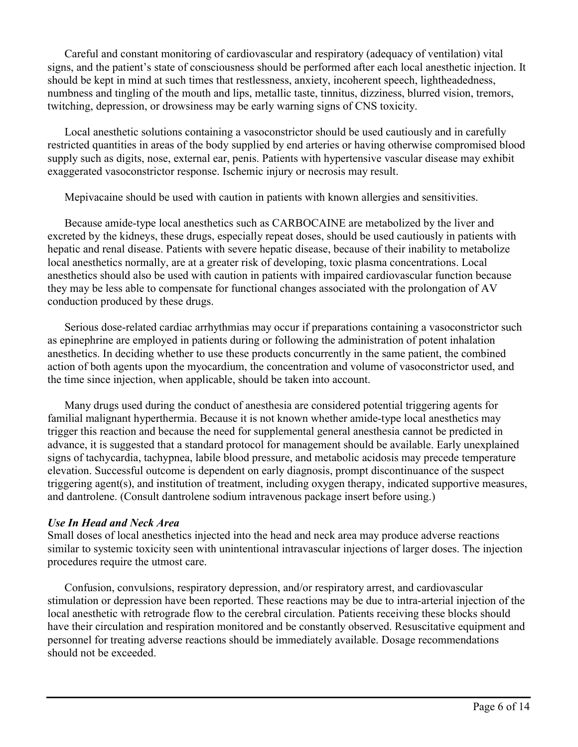Careful and constant monitoring of cardiovascular and respiratory (adequacy of ventilation) vital signs, and the patient's state of consciousness should be performed after each local anesthetic injection. It should be kept in mind at such times that restlessness, anxiety, incoherent speech, lightheadedness, numbness and tingling of the mouth and lips, metallic taste, tinnitus, dizziness, blurred vision, tremors, twitching, depression, or drowsiness may be early warning signs of CNS toxicity.

Local anesthetic solutions containing a vasoconstrictor should be used cautiously and in carefully restricted quantities in areas of the body supplied by end arteries or having otherwise compromised blood supply such as digits, nose, external ear, penis. Patients with hypertensive vascular disease may exhibit exaggerated vasoconstrictor response. Ischemic injury or necrosis may result.

Mepivacaine should be used with caution in patients with known allergies and sensitivities.

Because amide-type local anesthetics such as CARBOCAINE are metabolized by the liver and excreted by the kidneys, these drugs, especially repeat doses, should be used cautiously in patients with hepatic and renal disease. Patients with severe hepatic disease, because of their inability to metabolize local anesthetics normally, are at a greater risk of developing, toxic plasma concentrations. Local anesthetics should also be used with caution in patients with impaired cardiovascular function because they may be less able to compensate for functional changes associated with the prolongation of AV conduction produced by these drugs.

Serious dose-related cardiac arrhythmias may occur if preparations containing a vasoconstrictor such as epinephrine are employed in patients during or following the administration of potent inhalation anesthetics. In deciding whether to use these products concurrently in the same patient, the combined action of both agents upon the myocardium, the concentration and volume of vasoconstrictor used, and the time since injection, when applicable, should be taken into account.

Many drugs used during the conduct of anesthesia are considered potential triggering agents for familial malignant hyperthermia. Because it is not known whether amide-type local anesthetics may trigger this reaction and because the need for supplemental general anesthesia cannot be predicted in advance, it is suggested that a standard protocol for management should be available. Early unexplained signs of tachycardia, tachypnea, labile blood pressure, and metabolic acidosis may precede temperature elevation. Successful outcome is dependent on early diagnosis, prompt discontinuance of the suspect triggering agent(s), and institution of treatment, including oxygen therapy, indicated supportive measures, and dantrolene. (Consult dantrolene sodium intravenous package insert before using.)

#### *Use In Head and Neck Area*

Small doses of local anesthetics injected into the head and neck area may produce adverse reactions similar to systemic toxicity seen with unintentional intravascular injections of larger doses. The injection procedures require the utmost care.

Confusion, convulsions, respiratory depression, and/or respiratory arrest, and cardiovascular stimulation or depression have been reported. These reactions may be due to intra-arterial injection of the local anesthetic with retrograde flow to the cerebral circulation. Patients receiving these blocks should have their circulation and respiration monitored and be constantly observed. Resuscitative equipment and personnel for treating adverse reactions should be immediately available. Dosage recommendations should not be exceeded.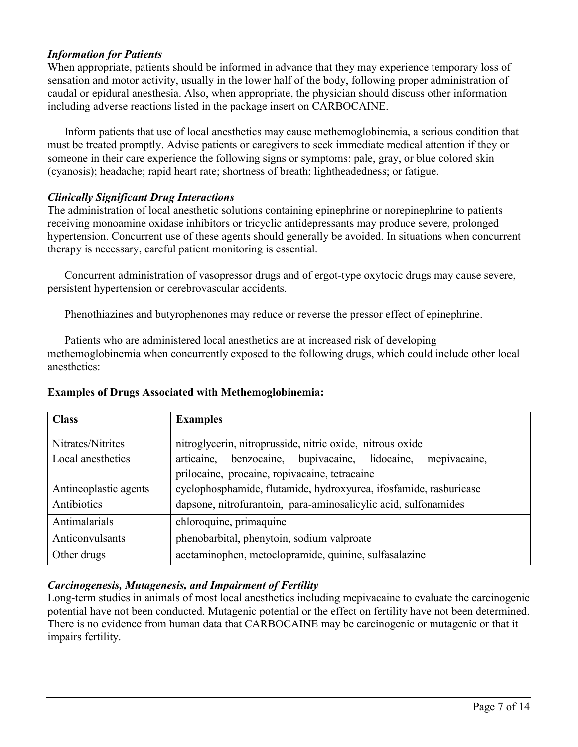#### *Information for Patients*

When appropriate, patients should be informed in advance that they may experience temporary loss of sensation and motor activity, usually in the lower half of the body, following proper administration of caudal or epidural anesthesia. Also, when appropriate, the physician should discuss other information including adverse reactions listed in the package insert on CARBOCAINE.

Inform patients that use of local anesthetics may cause methemoglobinemia, a serious condition that must be treated promptly. Advise patients or caregivers to seek immediate medical attention if they or someone in their care experience the following signs or symptoms: pale, gray, or blue colored skin (cyanosis); headache; rapid heart rate; shortness of breath; lightheadedness; or fatigue.

#### *Clinically Significant Drug Interactions*

The administration of local anesthetic solutions containing epinephrine or norepinephrine to patients receiving monoamine oxidase inhibitors or tricyclic antidepressants may produce severe, prolonged hypertension. Concurrent use of these agents should generally be avoided. In situations when concurrent therapy is necessary, careful patient monitoring is essential.

Concurrent administration of vasopressor drugs and of ergot-type oxytocic drugs may cause severe, persistent hypertension or cerebrovascular accidents.

Phenothiazines and butyrophenones may reduce or reverse the pressor effect of epinephrine.

Patients who are administered local anesthetics are at increased risk of developing methemoglobinemia when concurrently exposed to the following drugs, which could include other local anesthetics:

| <b>Class</b>          | <b>Examples</b>                                                      |  |  |
|-----------------------|----------------------------------------------------------------------|--|--|
| Nitrates/Nitrites     | nitroglycerin, nitroprusside, nitric oxide, nitrous oxide            |  |  |
| Local anesthetics     | mepivacaine,<br>benzocaine, bupivacaine,<br>articaine,<br>lidocaine, |  |  |
|                       | prilocaine, procaine, ropivacaine, tetracaine                        |  |  |
| Antineoplastic agents | cyclophosphamide, flutamide, hydroxyurea, ifosfamide, rasburicase    |  |  |
| Antibiotics           | dapsone, nitrofurantoin, para-aminosalicylic acid, sulfonamides      |  |  |
| Antimalarials         | chloroquine, primaquine                                              |  |  |
| Anticonvulsants       | phenobarbital, phenytoin, sodium valproate                           |  |  |
| Other drugs           | acetaminophen, metoclopramide, quinine, sulfasalazine                |  |  |

#### **Examples of Drugs Associated with Methemoglobinemia:**

#### *Carcinogenesis, Mutagenesis, and Impairment of Fertility*

Long-term studies in animals of most local anesthetics including mepivacaine to evaluate the carcinogenic potential have not been conducted. Mutagenic potential or the effect on fertility have not been determined. There is no evidence from human data that CARBOCAINE may be carcinogenic or mutagenic or that it impairs fertility.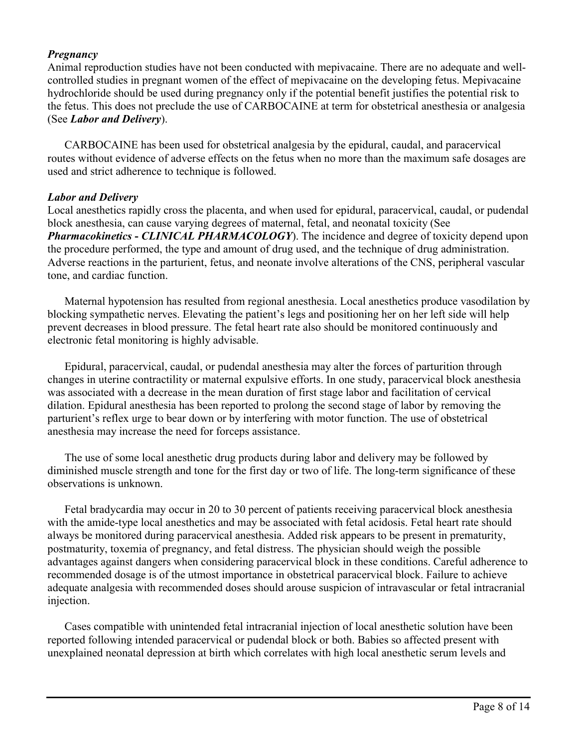#### *Pregnancy*

Animal reproduction studies have not been conducted with mepivacaine. There are no adequate and wellcontrolled studies in pregnant women of the effect of mepivacaine on the developing fetus. Mepivacaine hydrochloride should be used during pregnancy only if the potential benefit justifies the potential risk to the fetus. This does not preclude the use of CARBOCAINE at term for obstetrical anesthesia or analgesia (See *Labor and Delivery*).

CARBOCAINE has been used for obstetrical analgesia by the epidural, caudal, and paracervical routes without evidence of adverse effects on the fetus when no more than the maximum safe dosages are used and strict adherence to technique is followed.

#### *Labor and Delivery*

Local anesthetics rapidly cross the placenta, and when used for epidural, paracervical, caudal, or pudendal block anesthesia, can cause varying degrees of maternal, fetal, and neonatal toxicity (See *Pharmacokinetics* **-** *CLINICAL PHARMACOLOGY*). The incidence and degree of toxicity depend upon the procedure performed, the type and amount of drug used, and the technique of drug administration. Adverse reactions in the parturient, fetus, and neonate involve alterations of the CNS, peripheral vascular tone, and cardiac function.

Maternal hypotension has resulted from regional anesthesia. Local anesthetics produce vasodilation by blocking sympathetic nerves. Elevating the patient's legs and positioning her on her left side will help prevent decreases in blood pressure. The fetal heart rate also should be monitored continuously and electronic fetal monitoring is highly advisable.

Epidural, paracervical, caudal, or pudendal anesthesia may alter the forces of parturition through changes in uterine contractility or maternal expulsive efforts. In one study, paracervical block anesthesia was associated with a decrease in the mean duration of first stage labor and facilitation of cervical dilation. Epidural anesthesia has been reported to prolong the second stage of labor by removing the parturient's reflex urge to bear down or by interfering with motor function. The use of obstetrical anesthesia may increase the need for forceps assistance.

The use of some local anesthetic drug products during labor and delivery may be followed by diminished muscle strength and tone for the first day or two of life. The long-term significance of these observations is unknown.

Fetal bradycardia may occur in 20 to 30 percent of patients receiving paracervical block anesthesia with the amide-type local anesthetics and may be associated with fetal acidosis. Fetal heart rate should always be monitored during paracervical anesthesia. Added risk appears to be present in prematurity, postmaturity, toxemia of pregnancy, and fetal distress. The physician should weigh the possible advantages against dangers when considering paracervical block in these conditions. Careful adherence to recommended dosage is of the utmost importance in obstetrical paracervical block. Failure to achieve adequate analgesia with recommended doses should arouse suspicion of intravascular or fetal intracranial injection.

Cases compatible with unintended fetal intracranial injection of local anesthetic solution have been reported following intended paracervical or pudendal block or both. Babies so affected present with unexplained neonatal depression at birth which correlates with high local anesthetic serum levels and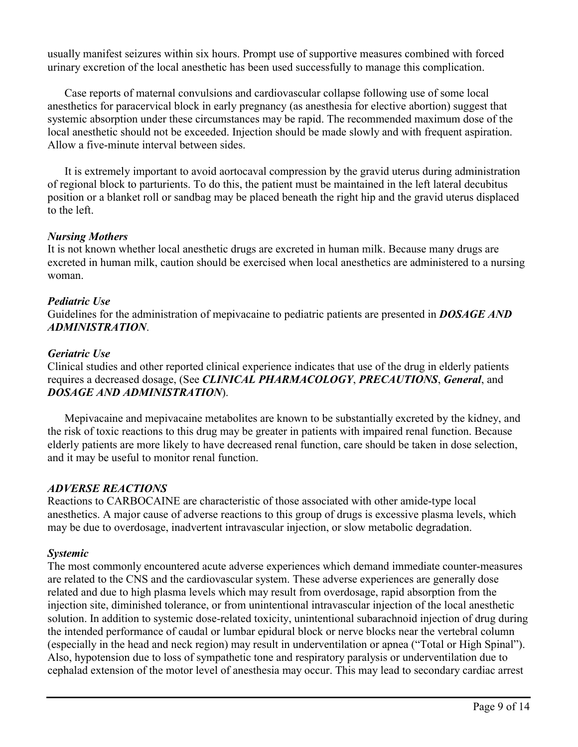usually manifest seizures within six hours. Prompt use of supportive measures combined with forced urinary excretion of the local anesthetic has been used successfully to manage this complication.

Case reports of maternal convulsions and cardiovascular collapse following use of some local anesthetics for paracervical block in early pregnancy (as anesthesia for elective abortion) suggest that systemic absorption under these circumstances may be rapid. The recommended maximum dose of the local anesthetic should not be exceeded. Injection should be made slowly and with frequent aspiration. Allow a five-minute interval between sides.

It is extremely important to avoid aortocaval compression by the gravid uterus during administration of regional block to parturients. To do this, the patient must be maintained in the left lateral decubitus position or a blanket roll or sandbag may be placed beneath the right hip and the gravid uterus displaced to the left.

#### *Nursing Mothers*

It is not known whether local anesthetic drugs are excreted in human milk. Because many drugs are excreted in human milk, caution should be exercised when local anesthetics are administered to a nursing woman.

#### *Pediatric Use*

Guidelines for the administration of mepivacaine to pediatric patients are presented in *DOSAGE AND ADMINISTRATION*.

#### *Geriatric Use*

Clinical studies and other reported clinical experience indicates that use of the drug in elderly patients requires a decreased dosage, (See *CLINICAL PHARMACOLOGY*, *PRECAUTIONS*, *General*, and *DOSAGE AND ADMINISTRATION*).

Mepivacaine and mepivacaine metabolites are known to be substantially excreted by the kidney, and the risk of toxic reactions to this drug may be greater in patients with impaired renal function. Because elderly patients are more likely to have decreased renal function, care should be taken in dose selection, and it may be useful to monitor renal function.

#### *ADVERSE REACTIONS*

Reactions to CARBOCAINE are characteristic of those associated with other amide-type local anesthetics. A major cause of adverse reactions to this group of drugs is excessive plasma levels, which may be due to overdosage, inadvertent intravascular injection, or slow metabolic degradation.

#### *Systemic*

The most commonly encountered acute adverse experiences which demand immediate counter-measures are related to the CNS and the cardiovascular system. These adverse experiences are generally dose related and due to high plasma levels which may result from overdosage, rapid absorption from the injection site, diminished tolerance, or from unintentional intravascular injection of the local anesthetic solution. In addition to systemic dose-related toxicity, unintentional subarachnoid injection of drug during the intended performance of caudal or lumbar epidural block or nerve blocks near the vertebral column (especially in the head and neck region) may result in underventilation or apnea ("Total or High Spinal"). Also, hypotension due to loss of sympathetic tone and respiratory paralysis or underventilation due to cephalad extension of the motor level of anesthesia may occur. This may lead to secondary cardiac arrest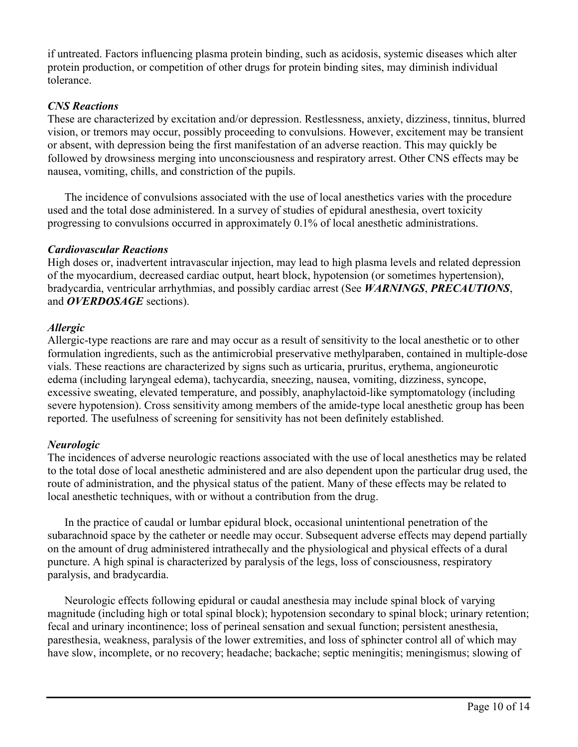if untreated. Factors influencing plasma protein binding, such as acidosis, systemic diseases which alter protein production, or competition of other drugs for protein binding sites, may diminish individual tolerance.

### *CNS Reactions*

These are characterized by excitation and/or depression. Restlessness, anxiety, dizziness, tinnitus, blurred vision, or tremors may occur, possibly proceeding to convulsions. However, excitement may be transient or absent, with depression being the first manifestation of an adverse reaction. This may quickly be followed by drowsiness merging into unconsciousness and respiratory arrest. Other CNS effects may be nausea, vomiting, chills, and constriction of the pupils.

The incidence of convulsions associated with the use of local anesthetics varies with the procedure used and the total dose administered. In a survey of studies of epidural anesthesia, overt toxicity progressing to convulsions occurred in approximately 0.1% of local anesthetic administrations.

#### *Cardiovascular Reactions*

High doses or, inadvertent intravascular injection, may lead to high plasma levels and related depression of the myocardium, decreased cardiac output, heart block, hypotension (or sometimes hypertension), bradycardia, ventricular arrhythmias, and possibly cardiac arrest (See *WARNINGS*, *PRECAUTIONS*, and *OVERDOSAGE* sections).

## *Allergic*

Allergic-type reactions are rare and may occur as a result of sensitivity to the local anesthetic or to other formulation ingredients, such as the antimicrobial preservative methylparaben, contained in multiple-dose vials. These reactions are characterized by signs such as urticaria, pruritus, erythema, angioneurotic edema (including laryngeal edema), tachycardia, sneezing, nausea, vomiting, dizziness, syncope, excessive sweating, elevated temperature, and possibly, anaphylactoid-like symptomatology (including severe hypotension). Cross sensitivity among members of the amide-type local anesthetic group has been reported. The usefulness of screening for sensitivity has not been definitely established.

## *Neurologic*

The incidences of adverse neurologic reactions associated with the use of local anesthetics may be related to the total dose of local anesthetic administered and are also dependent upon the particular drug used, the route of administration, and the physical status of the patient. Many of these effects may be related to local anesthetic techniques, with or without a contribution from the drug.

In the practice of caudal or lumbar epidural block, occasional unintentional penetration of the subarachnoid space by the catheter or needle may occur. Subsequent adverse effects may depend partially on the amount of drug administered intrathecally and the physiological and physical effects of a dural puncture. A high spinal is characterized by paralysis of the legs, loss of consciousness, respiratory paralysis, and bradycardia.

Neurologic effects following epidural or caudal anesthesia may include spinal block of varying magnitude (including high or total spinal block); hypotension secondary to spinal block; urinary retention; fecal and urinary incontinence; loss of perineal sensation and sexual function; persistent anesthesia, paresthesia, weakness, paralysis of the lower extremities, and loss of sphincter control all of which may have slow, incomplete, or no recovery; headache; backache; septic meningitis; meningismus; slowing of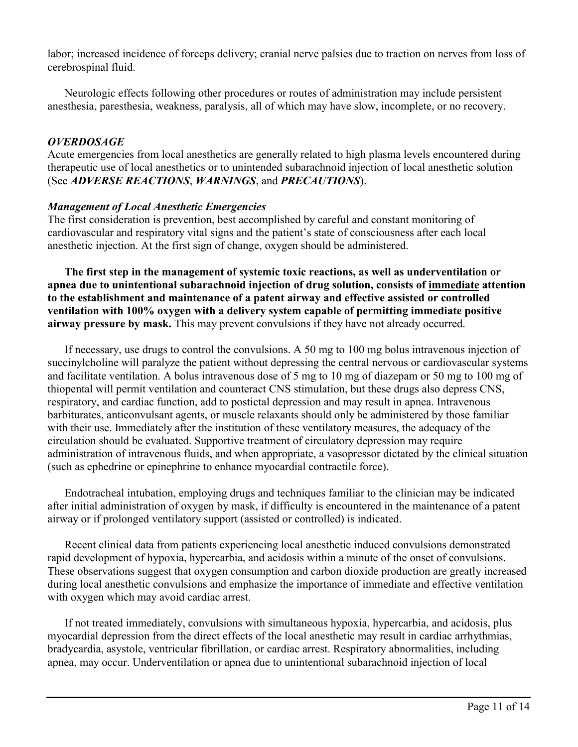labor; increased incidence of forceps delivery; cranial nerve palsies due to traction on nerves from loss of cerebrospinal fluid.

Neurologic effects following other procedures or routes of administration may include persistent anesthesia, paresthesia, weakness, paralysis, all of which may have slow, incomplete, or no recovery.

#### *OVERDOSAGE*

Acute emergencies from local anesthetics are generally related to high plasma levels encountered during therapeutic use of local anesthetics or to unintended subarachnoid injection of local anesthetic solution (See *ADVERSE REACTIONS*, *WARNINGS*, and *PRECAUTIONS*).

#### *Management of Local Anesthetic Emergencies*

The first consideration is prevention, best accomplished by careful and constant monitoring of cardiovascular and respiratory vital signs and the patient's state of consciousness after each local anesthetic injection. At the first sign of change, oxygen should be administered.

**The first step in the management of systemic toxic reactions, as well as underventilation or apnea due to unintentional subarachnoid injection of drug solution, consists of immediate attention to the establishment and maintenance of a patent airway and effective assisted or controlled ventilation with 100% oxygen with a delivery system capable of permitting immediate positive airway pressure by mask.** This may prevent convulsions if they have not already occurred.

If necessary, use drugs to control the convulsions. A 50 mg to 100 mg bolus intravenous injection of succinylcholine will paralyze the patient without depressing the central nervous or cardiovascular systems and facilitate ventilation. A bolus intravenous dose of 5 mg to 10 mg of diazepam or 50 mg to 100 mg of thiopental will permit ventilation and counteract CNS stimulation, but these drugs also depress CNS, respiratory, and cardiac function, add to postictal depression and may result in apnea. Intravenous barbiturates, anticonvulsant agents, or muscle relaxants should only be administered by those familiar with their use. Immediately after the institution of these ventilatory measures, the adequacy of the circulation should be evaluated. Supportive treatment of circulatory depression may require administration of intravenous fluids, and when appropriate, a vasopressor dictated by the clinical situation (such as ephedrine or epinephrine to enhance myocardial contractile force).

Endotracheal intubation, employing drugs and techniques familiar to the clinician may be indicated after initial administration of oxygen by mask, if difficulty is encountered in the maintenance of a patent airway or if prolonged ventilatory support (assisted or controlled) is indicated.

Recent clinical data from patients experiencing local anesthetic induced convulsions demonstrated rapid development of hypoxia, hypercarbia, and acidosis within a minute of the onset of convulsions. These observations suggest that oxygen consumption and carbon dioxide production are greatly increased during local anesthetic convulsions and emphasize the importance of immediate and effective ventilation with oxygen which may avoid cardiac arrest.

If not treated immediately, convulsions with simultaneous hypoxia, hypercarbia, and acidosis, plus myocardial depression from the direct effects of the local anesthetic may result in cardiac arrhythmias, bradycardia, asystole, ventricular fibrillation, or cardiac arrest. Respiratory abnormalities, including apnea, may occur. Underventilation or apnea due to unintentional subarachnoid injection of local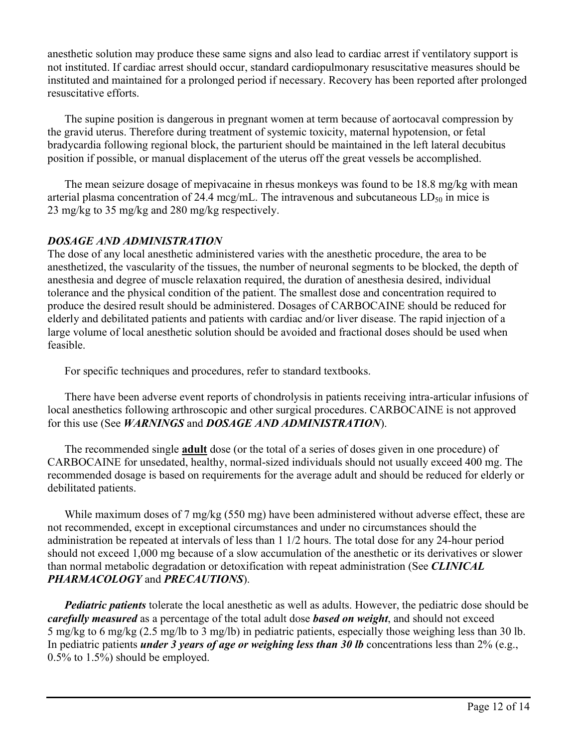anesthetic solution may produce these same signs and also lead to cardiac arrest if ventilatory support is not instituted. If cardiac arrest should occur, standard cardiopulmonary resuscitative measures should be instituted and maintained for a prolonged period if necessary. Recovery has been reported after prolonged resuscitative efforts.

The supine position is dangerous in pregnant women at term because of aortocaval compression by the gravid uterus. Therefore during treatment of systemic toxicity, maternal hypotension, or fetal bradycardia following regional block, the parturient should be maintained in the left lateral decubitus position if possible, or manual displacement of the uterus off the great vessels be accomplished.

The mean seizure dosage of mepivacaine in rhesus monkeys was found to be 18.8 mg/kg with mean arterial plasma concentration of 24.4 mcg/mL. The intravenous and subcutaneous  $LD_{50}$  in mice is 23 mg/kg to 35 mg/kg and 280 mg/kg respectively.

## *DOSAGE AND ADMINISTRATION*

The dose of any local anesthetic administered varies with the anesthetic procedure, the area to be anesthetized, the vascularity of the tissues, the number of neuronal segments to be blocked, the depth of anesthesia and degree of muscle relaxation required, the duration of anesthesia desired, individual tolerance and the physical condition of the patient. The smallest dose and concentration required to produce the desired result should be administered. Dosages of CARBOCAINE should be reduced for elderly and debilitated patients and patients with cardiac and/or liver disease. The rapid injection of a large volume of local anesthetic solution should be avoided and fractional doses should be used when feasible.

For specific techniques and procedures, refer to standard textbooks.

There have been adverse event reports of chondrolysis in patients receiving intra-articular infusions of local anesthetics following arthroscopic and other surgical procedures. CARBOCAINE is not approved for this use (See *WARNINGS* and *DOSAGE AND ADMINISTRATION*).

The recommended single **adult** dose (or the total of a series of doses given in one procedure) of CARBOCAINE for unsedated, healthy, normal-sized individuals should not usually exceed 400 mg. The recommended dosage is based on requirements for the average adult and should be reduced for elderly or debilitated patients.

While maximum doses of 7 mg/kg (550 mg) have been administered without adverse effect, these are not recommended, except in exceptional circumstances and under no circumstances should the administration be repeated at intervals of less than 1 1/2 hours. The total dose for any 24-hour period should not exceed 1,000 mg because of a slow accumulation of the anesthetic or its derivatives or slower than normal metabolic degradation or detoxification with repeat administration (See *CLINICAL PHARMACOLOGY* and *PRECAUTIONS*).

*Pediatric patients* tolerate the local anesthetic as well as adults. However, the pediatric dose should be *carefully measured* as a percentage of the total adult dose *based on weight*, and should not exceed 5 mg/kg to 6 mg/kg (2.5 mg/lb to 3 mg/lb) in pediatric patients, especially those weighing less than 30 lb. In pediatric patients *under 3 years of age or weighing less than 30 lb* concentrations less than 2% (e.g., 0.5% to 1.5%) should be employed.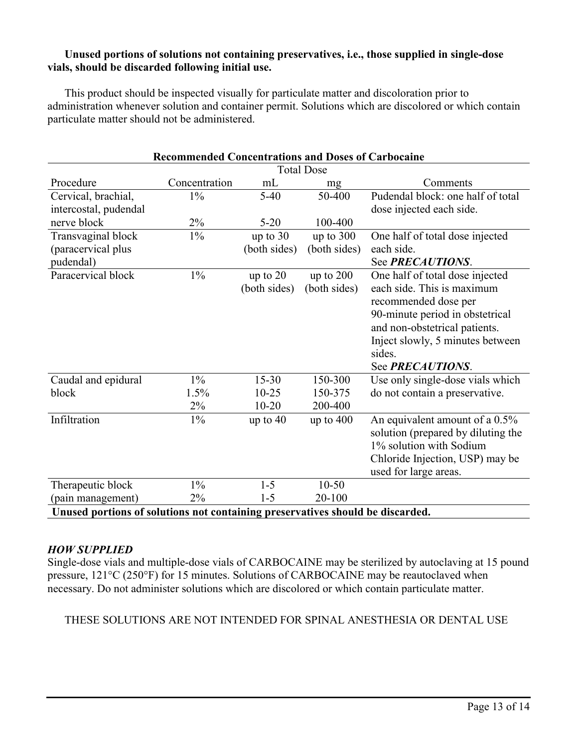#### **Unused portions of solutions not containing preservatives, i.e., those supplied in single-dose vials, should be discarded following initial use.**

This product should be inspected visually for particulate matter and discoloration prior to administration whenever solution and container permit. Solutions which are discolored or which contain particulate matter should not be administered.

| <b>Recommended Concentrations and Doses of Carbocaine</b>                      |               |                |              |                                    |
|--------------------------------------------------------------------------------|---------------|----------------|--------------|------------------------------------|
| <b>Total Dose</b>                                                              |               |                |              |                                    |
| Procedure                                                                      | Concentration | m <sub>L</sub> | mg           | Comments                           |
| Cervical, brachial,                                                            | $1\%$         | $5-40$         | 50-400       | Pudendal block: one half of total  |
| intercostal, pudendal                                                          |               |                |              | dose injected each side.           |
| nerve block                                                                    | 2%            | $5 - 20$       | 100-400      |                                    |
| Transvaginal block                                                             | $1\%$         | up to 30       | up to $300$  | One half of total dose injected    |
| (paracervical plus                                                             |               | (both sides)   | (both sides) | each side.                         |
| pudendal)                                                                      |               |                |              | See PRECAUTIONS.                   |
| Paracervical block                                                             | $1\%$         | up to $20$     | up to $200$  | One half of total dose injected    |
|                                                                                |               | (both sides)   | (both sides) | each side. This is maximum         |
|                                                                                |               |                |              | recommended dose per               |
|                                                                                |               |                |              | 90-minute period in obstetrical    |
|                                                                                |               |                |              | and non-obstetrical patients.      |
|                                                                                |               |                |              | Inject slowly, 5 minutes between   |
|                                                                                |               |                |              | sides.                             |
|                                                                                |               |                |              | See PRECAUTIONS.                   |
| Caudal and epidural                                                            | $1\%$         | $15 - 30$      | 150-300      | Use only single-dose vials which   |
| block                                                                          | 1.5%          | $10 - 25$      | 150-375      | do not contain a preservative.     |
|                                                                                | 2%            | $10 - 20$      | 200-400      |                                    |
| Infiltration                                                                   | $1\%$         | up to $40$     | up to $400$  | An equivalent amount of a 0.5%     |
|                                                                                |               |                |              | solution (prepared by diluting the |
|                                                                                |               |                |              | 1% solution with Sodium            |
|                                                                                |               |                |              | Chloride Injection, USP) may be    |
|                                                                                |               |                |              | used for large areas.              |
| Therapeutic block                                                              | $1\%$         | $1 - 5$        | $10 - 50$    |                                    |
| (pain management)                                                              | 2%            | $1 - 5$        | 20-100       |                                    |
| Unused portions of solutions not containing preservatives should be discarded. |               |                |              |                                    |

#### *HOW SUPPLIED*

Single-dose vials and multiple-dose vials of CARBOCAINE may be sterilized by autoclaving at 15 pound pressure, 121°C (250°F) for 15 minutes. Solutions of CARBOCAINE may be reautoclaved when necessary. Do not administer solutions which are discolored or which contain particulate matter.

#### THESE SOLUTIONS ARE NOT INTENDED FOR SPINAL ANESTHESIA OR DENTAL USE